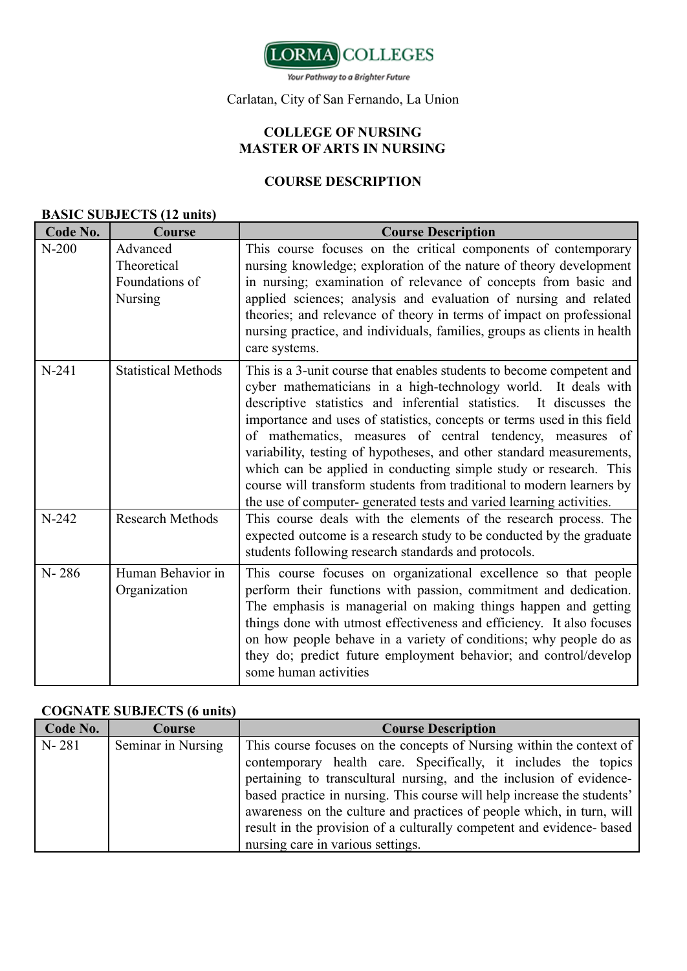

Your Pathway to a Brighter Future

### Carlatan, City of San Fernando, La Union

## **COLLEGE OF NURSING MASTER OF ARTS IN NURSING**

## **COURSE DESCRIPTION**

### **BASIC SUBJECTS (12 units)**

| Code No.  | Course                                                      | <b>Course Description</b>                                                                                                                                                                                                                                                                                                                                                                                                                                                                                                                                                                                                                           |
|-----------|-------------------------------------------------------------|-----------------------------------------------------------------------------------------------------------------------------------------------------------------------------------------------------------------------------------------------------------------------------------------------------------------------------------------------------------------------------------------------------------------------------------------------------------------------------------------------------------------------------------------------------------------------------------------------------------------------------------------------------|
| $N-200$   | Advanced<br>Theoretical<br>Foundations of<br><b>Nursing</b> | This course focuses on the critical components of contemporary<br>nursing knowledge; exploration of the nature of theory development<br>in nursing; examination of relevance of concepts from basic and<br>applied sciences; analysis and evaluation of nursing and related<br>theories; and relevance of theory in terms of impact on professional<br>nursing practice, and individuals, families, groups as clients in health<br>care systems.                                                                                                                                                                                                    |
| $N-241$   | <b>Statistical Methods</b>                                  | This is a 3-unit course that enables students to become competent and<br>cyber mathematicians in a high-technology world. It deals with<br>descriptive statistics and inferential statistics. It discusses the<br>importance and uses of statistics, concepts or terms used in this field<br>of mathematics, measures of central tendency, measures of<br>variability, testing of hypotheses, and other standard measurements,<br>which can be applied in conducting simple study or research. This<br>course will transform students from traditional to modern learners by<br>the use of computer-generated tests and varied learning activities. |
| $N-242$   | <b>Research Methods</b>                                     | This course deals with the elements of the research process. The<br>expected outcome is a research study to be conducted by the graduate<br>students following research standards and protocols.                                                                                                                                                                                                                                                                                                                                                                                                                                                    |
| $N - 286$ | Human Behavior in<br>Organization                           | This course focuses on organizational excellence so that people<br>perform their functions with passion, commitment and dedication.<br>The emphasis is managerial on making things happen and getting<br>things done with utmost effectiveness and efficiency. It also focuses<br>on how people behave in a variety of conditions; why people do as<br>they do; predict future employment behavior; and control/develop<br>some human activities                                                                                                                                                                                                    |

#### **COGNATE SUBJECTS (6 units)**

| Code No.  | Course             | <b>Course Description</b>                                                                                                                                                                                                                                                                                                                                                                                                                                                       |
|-----------|--------------------|---------------------------------------------------------------------------------------------------------------------------------------------------------------------------------------------------------------------------------------------------------------------------------------------------------------------------------------------------------------------------------------------------------------------------------------------------------------------------------|
| $N - 281$ | Seminar in Nursing | This course focuses on the concepts of Nursing within the context of<br>contemporary health care. Specifically, it includes the topics<br>pertaining to transcultural nursing, and the inclusion of evidence-<br>based practice in nursing. This course will help increase the students'<br>awareness on the culture and practices of people which, in turn, will<br>result in the provision of a culturally competent and evidence- based<br>nursing care in various settings. |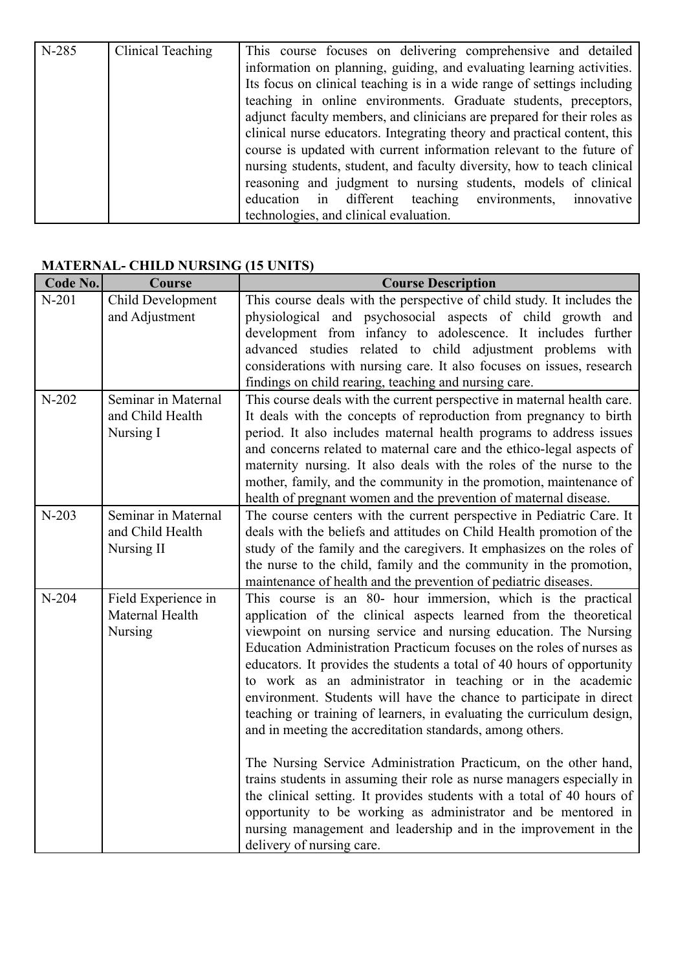| N-285 | Clinical Teaching | This course focuses on delivering comprehensive and detailed             |
|-------|-------------------|--------------------------------------------------------------------------|
|       |                   | information on planning, guiding, and evaluating learning activities.    |
|       |                   | Its focus on clinical teaching is in a wide range of settings including  |
|       |                   | teaching in online environments. Graduate students, preceptors,          |
|       |                   | adjunct faculty members, and clinicians are prepared for their roles as  |
|       |                   | clinical nurse educators. Integrating theory and practical content, this |
|       |                   | course is updated with current information relevant to the future of     |
|       |                   | nursing students, student, and faculty diversity, how to teach clinical  |
|       |                   | reasoning and judgment to nursing students, models of clinical           |
|       |                   | education in different teaching environments,<br>innovative              |
|       |                   | technologies, and clinical evaluation.                                   |

# **MATERNAL- CHILD NURSING (15 UNITS)**

| Code No. | <b>Course</b>                                         | <b>Course Description</b>                                                                                                                                                                                                                                                                                                                                                                                                                                                                                                                                                                                                                                                                                                                                                                                                                                                                                                                                                                                                  |
|----------|-------------------------------------------------------|----------------------------------------------------------------------------------------------------------------------------------------------------------------------------------------------------------------------------------------------------------------------------------------------------------------------------------------------------------------------------------------------------------------------------------------------------------------------------------------------------------------------------------------------------------------------------------------------------------------------------------------------------------------------------------------------------------------------------------------------------------------------------------------------------------------------------------------------------------------------------------------------------------------------------------------------------------------------------------------------------------------------------|
| $N-201$  | Child Development<br>and Adjustment                   | This course deals with the perspective of child study. It includes the<br>physiological and psychosocial aspects of child growth and<br>development from infancy to adolescence. It includes further                                                                                                                                                                                                                                                                                                                                                                                                                                                                                                                                                                                                                                                                                                                                                                                                                       |
|          |                                                       | advanced studies related to child adjustment problems with<br>considerations with nursing care. It also focuses on issues, research<br>findings on child rearing, teaching and nursing care.                                                                                                                                                                                                                                                                                                                                                                                                                                                                                                                                                                                                                                                                                                                                                                                                                               |
| $N-202$  | Seminar in Maternal<br>and Child Health<br>Nursing I  | This course deals with the current perspective in maternal health care.<br>It deals with the concepts of reproduction from pregnancy to birth<br>period. It also includes maternal health programs to address issues<br>and concerns related to maternal care and the ethico-legal aspects of<br>maternity nursing. It also deals with the roles of the nurse to the<br>mother, family, and the community in the promotion, maintenance of<br>health of pregnant women and the prevention of maternal disease.                                                                                                                                                                                                                                                                                                                                                                                                                                                                                                             |
| $N-203$  | Seminar in Maternal<br>and Child Health<br>Nursing II | The course centers with the current perspective in Pediatric Care. It<br>deals with the beliefs and attitudes on Child Health promotion of the<br>study of the family and the caregivers. It emphasizes on the roles of<br>the nurse to the child, family and the community in the promotion,<br>maintenance of health and the prevention of pediatric diseases.                                                                                                                                                                                                                                                                                                                                                                                                                                                                                                                                                                                                                                                           |
| $N-204$  | Field Experience in<br>Maternal Health<br>Nursing     | This course is an 80- hour immersion, which is the practical<br>application of the clinical aspects learned from the theoretical<br>viewpoint on nursing service and nursing education. The Nursing<br>Education Administration Practicum focuses on the roles of nurses as<br>educators. It provides the students a total of 40 hours of opportunity<br>to work as an administrator in teaching or in the academic<br>environment. Students will have the chance to participate in direct<br>teaching or training of learners, in evaluating the curriculum design,<br>and in meeting the accreditation standards, among others.<br>The Nursing Service Administration Practicum, on the other hand,<br>trains students in assuming their role as nurse managers especially in<br>the clinical setting. It provides students with a total of 40 hours of<br>opportunity to be working as administrator and be mentored in<br>nursing management and leadership and in the improvement in the<br>delivery of nursing care. |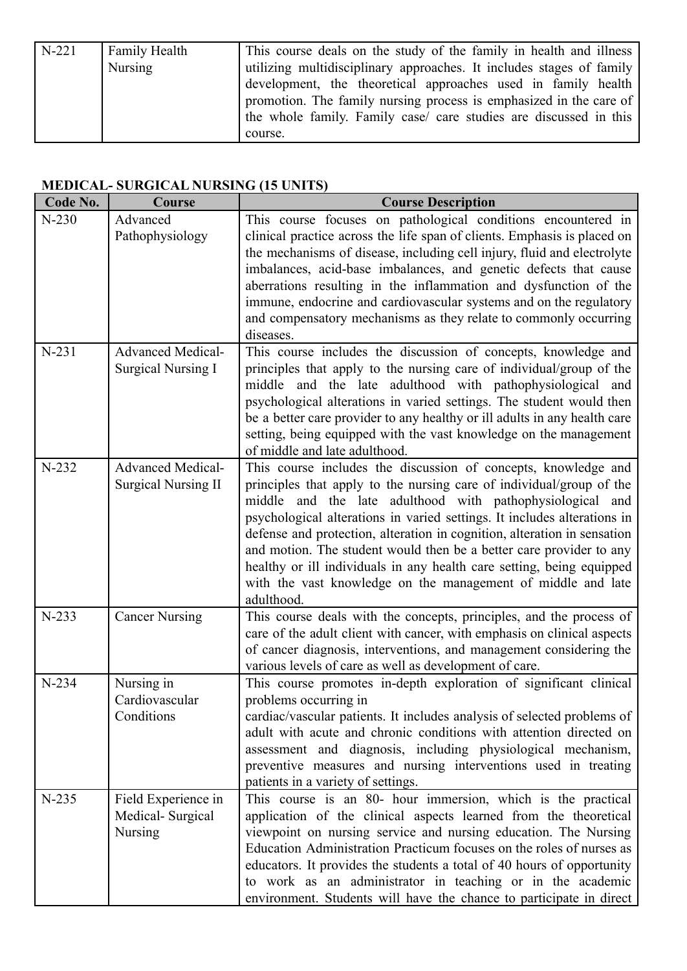| $N-221$ | Family Health | This course deals on the study of the family in health and illness   |
|---------|---------------|----------------------------------------------------------------------|
|         | Nursing       | utilizing multidisciplinary approaches. It includes stages of family |
|         |               | development, the theoretical approaches used in family health        |
|         |               | promotion. The family nursing process is emphasized in the care of   |
|         |               | the whole family. Family case/ care studies are discussed in this    |
|         |               | course.                                                              |

# **MEDICAL- SURGICAL NURSING (15 UNITS)**

| Code No. | Course                                                    | <b>Course Description</b>                                                                                                                                                                                                                                                                                                                                                                                                                                                                                                                                                                 |
|----------|-----------------------------------------------------------|-------------------------------------------------------------------------------------------------------------------------------------------------------------------------------------------------------------------------------------------------------------------------------------------------------------------------------------------------------------------------------------------------------------------------------------------------------------------------------------------------------------------------------------------------------------------------------------------|
| $N-230$  | Advanced<br>Pathophysiology                               | This course focuses on pathological conditions encountered in<br>clinical practice across the life span of clients. Emphasis is placed on<br>the mechanisms of disease, including cell injury, fluid and electrolyte<br>imbalances, acid-base imbalances, and genetic defects that cause<br>aberrations resulting in the inflammation and dysfunction of the<br>immune, endocrine and cardiovascular systems and on the regulatory                                                                                                                                                        |
|          |                                                           | and compensatory mechanisms as they relate to commonly occurring<br>diseases.                                                                                                                                                                                                                                                                                                                                                                                                                                                                                                             |
| $N-231$  | <b>Advanced Medical-</b><br><b>Surgical Nursing I</b>     | This course includes the discussion of concepts, knowledge and<br>principles that apply to the nursing care of individual/group of the<br>middle and the late adulthood with pathophysiological and<br>psychological alterations in varied settings. The student would then<br>be a better care provider to any healthy or ill adults in any health care<br>setting, being equipped with the vast knowledge on the management<br>of middle and late adulthood.                                                                                                                            |
| $N-232$  | <b>Advanced Medical-</b><br><b>Surgical Nursing II</b>    | This course includes the discussion of concepts, knowledge and<br>principles that apply to the nursing care of individual/group of the<br>middle and the late adulthood with pathophysiological and<br>psychological alterations in varied settings. It includes alterations in<br>defense and protection, alteration in cognition, alteration in sensation<br>and motion. The student would then be a better care provider to any<br>healthy or ill individuals in any health care setting, being equipped<br>with the vast knowledge on the management of middle and late<br>adulthood. |
| $N-233$  | <b>Cancer Nursing</b>                                     | This course deals with the concepts, principles, and the process of<br>care of the adult client with cancer, with emphasis on clinical aspects<br>of cancer diagnosis, interventions, and management considering the<br>various levels of care as well as development of care.                                                                                                                                                                                                                                                                                                            |
| N-234    | Nursing in<br>Cardiovascular<br>Conditions                | This course promotes in-depth exploration of significant clinical<br>problems occurring in<br>cardiac/vascular patients. It includes analysis of selected problems of<br>adult with acute and chronic conditions with attention directed on<br>assessment and diagnosis, including physiological mechanism,<br>preventive measures and nursing interventions used in treating<br>patients in a variety of settings.                                                                                                                                                                       |
| $N-235$  | Field Experience in<br>Medical-Surgical<br><b>Nursing</b> | This course is an 80- hour immersion, which is the practical<br>application of the clinical aspects learned from the theoretical<br>viewpoint on nursing service and nursing education. The Nursing<br>Education Administration Practicum focuses on the roles of nurses as<br>educators. It provides the students a total of 40 hours of opportunity<br>to work as an administrator in teaching or in the academic<br>environment. Students will have the chance to participate in direct                                                                                                |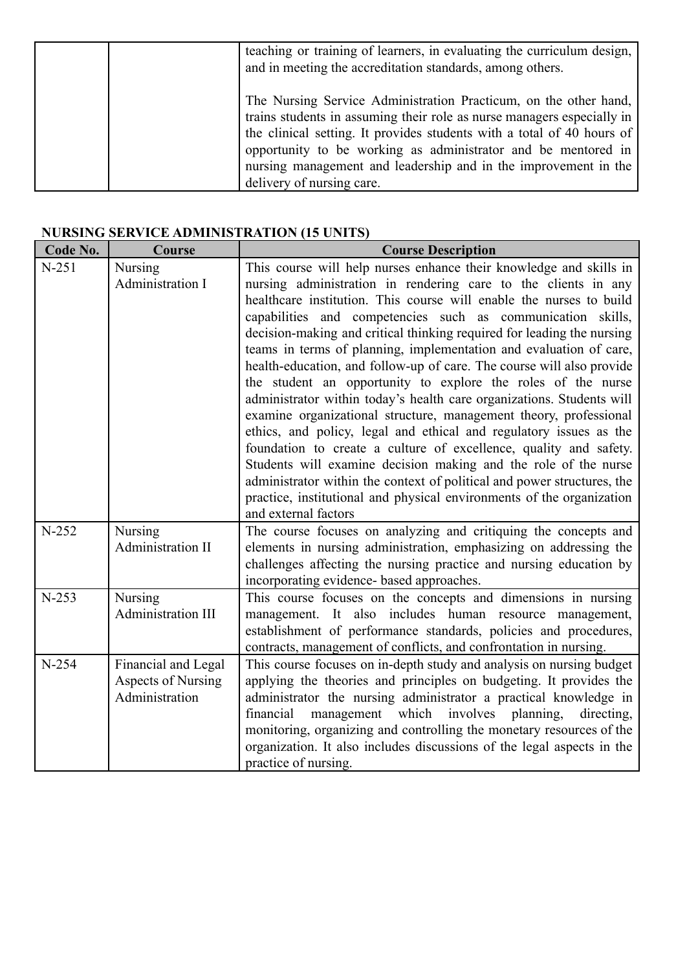| teaching or training of learners, in evaluating the curriculum design,<br>and in meeting the accreditation standards, among others.                                                                                                                                                                                                                                                   |
|---------------------------------------------------------------------------------------------------------------------------------------------------------------------------------------------------------------------------------------------------------------------------------------------------------------------------------------------------------------------------------------|
| The Nursing Service Administration Practicum, on the other hand,<br>trains students in assuming their role as nurse managers especially in<br>the clinical setting. It provides students with a total of 40 hours of<br>opportunity to be working as administrator and be mentored in<br>nursing management and leadership and in the improvement in the<br>delivery of nursing care. |

# **NURSING SERVICE ADMINISTRATION (15 UNITS)**

| Code No. | Course                    | <b>Course Description</b>                                                                                                             |
|----------|---------------------------|---------------------------------------------------------------------------------------------------------------------------------------|
| $N-251$  | Nursing                   | This course will help nurses enhance their knowledge and skills in                                                                    |
|          | Administration I          | nursing administration in rendering care to the clients in any                                                                        |
|          |                           | healthcare institution. This course will enable the nurses to build                                                                   |
|          |                           | capabilities and competencies such as communication skills,                                                                           |
|          |                           | decision-making and critical thinking required for leading the nursing                                                                |
|          |                           | teams in terms of planning, implementation and evaluation of care,                                                                    |
|          |                           | health-education, and follow-up of care. The course will also provide                                                                 |
|          |                           | the student an opportunity to explore the roles of the nurse<br>administrator within today's health care organizations. Students will |
|          |                           | examine organizational structure, management theory, professional                                                                     |
|          |                           | ethics, and policy, legal and ethical and regulatory issues as the                                                                    |
|          |                           | foundation to create a culture of excellence, quality and safety.                                                                     |
|          |                           | Students will examine decision making and the role of the nurse                                                                       |
|          |                           | administrator within the context of political and power structures, the                                                               |
|          |                           | practice, institutional and physical environments of the organization                                                                 |
|          |                           | and external factors                                                                                                                  |
| $N-252$  | Nursing                   | The course focuses on analyzing and critiquing the concepts and                                                                       |
|          | Administration II         | elements in nursing administration, emphasizing on addressing the                                                                     |
|          |                           | challenges affecting the nursing practice and nursing education by                                                                    |
|          |                           | incorporating evidence- based approaches.                                                                                             |
| $N-253$  | <b>Nursing</b>            | This course focuses on the concepts and dimensions in nursing                                                                         |
|          | Administration III        | management. It also includes human resource management,<br>establishment of performance standards, policies and procedures,           |
|          |                           | contracts, management of conflicts, and confrontation in nursing.                                                                     |
| $N-254$  | Financial and Legal       | This course focuses on in-depth study and analysis on nursing budget                                                                  |
|          | <b>Aspects of Nursing</b> | applying the theories and principles on budgeting. It provides the                                                                    |
|          | Administration            | administrator the nursing administrator a practical knowledge in                                                                      |
|          |                           | financial<br>management which involves planning,<br>directing,                                                                        |
|          |                           | monitoring, organizing and controlling the monetary resources of the                                                                  |
|          |                           | organization. It also includes discussions of the legal aspects in the                                                                |
|          |                           | practice of nursing.                                                                                                                  |